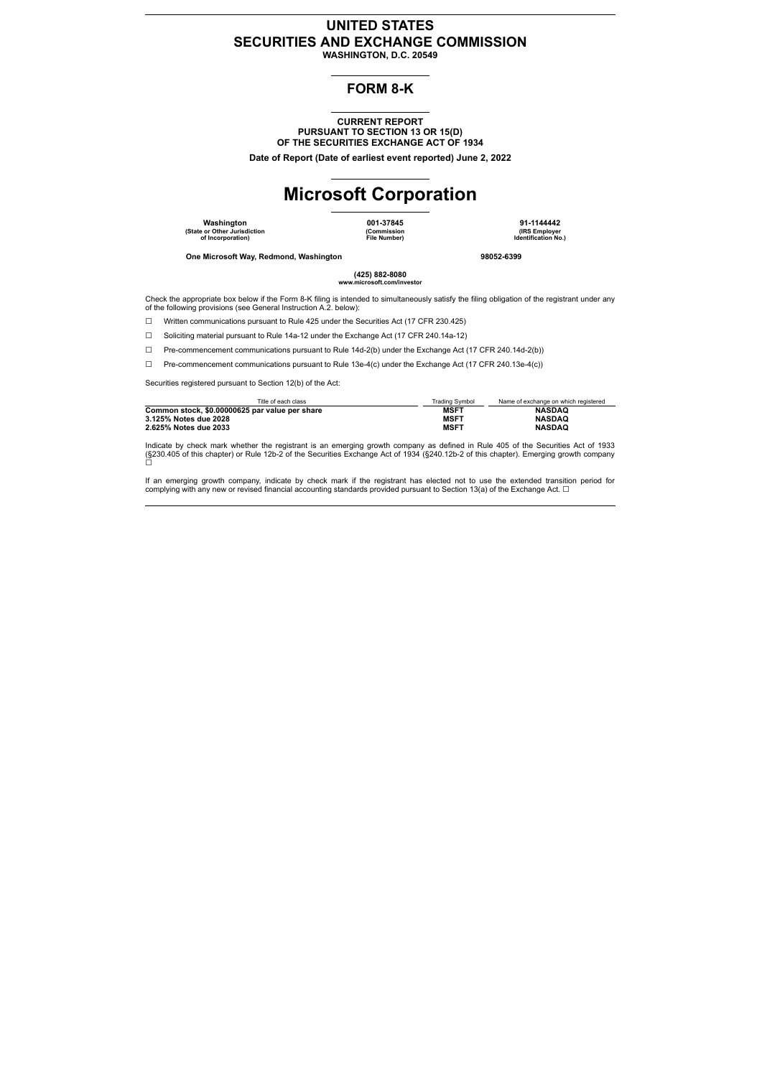#### **UNITED STATES SECURITIES AND EXCHANGE COMMISSION WASHINGTON, D.C. 20549**

### **FORM 8-K**

**CURRENT REPORT PURSUANT TO SECTION 13 OR 15(D) OF THE SECURITIES EXCHANGE ACT OF 1934**

**Date of Report (Date of earliest event reported) June 2, 2022**

## **Microsoft Corporation**

**Washington 001-37845 91-1144442 (State or Other Jurisdiction of Incorporation)**

**(Commission File Number)**

**(IRS Employer Identification No.)**

**One Microsoft Way, Redmond, Washington 98052-6399**

**(425) 882-8080 with** com/in

Check the appropriate box below if the Form 8-K filing is intended to simultaneously satisfy the filing obligation of the registrant under any of the following provisions (see General Instruction A.2. below):

☐ Written communications pursuant to Rule 425 under the Securities Act (17 CFR 230.425)

☐ Soliciting material pursuant to Rule 14a-12 under the Exchange Act (17 CFR 240.14a-12)

☐ Pre-commencement communications pursuant to Rule 14d-2(b) under the Exchange Act (17 CFR 240.14d-2(b))

☐ Pre-commencement communications pursuant to Rule 13e-4(c) under the Exchange Act (17 CFR 240.13e-4(c))

Securities registered pursuant to Section 12(b) of the Act:

| Title of each class                            | <b>Trading Symbol</b> | Name of exchange on which registered |
|------------------------------------------------|-----------------------|--------------------------------------|
| Common stock, \$0.00000625 par value per share | <b>MSFT</b>           | <b>NASDAO</b>                        |
| 3.125% Notes due 2028                          | <b>MSFT</b>           | <b>NASDAO</b>                        |
| 2.625% Notes due 2033                          | <b>MSFT</b>           | <b>NASDAO</b>                        |

Indicate by check mark whether the registrant is an emerging growth company as defined in Rule 405 of the Securities Act of 1933<br>(§230.405 of this chapter) or Rule 12b-2 of the Securities Exchange Act of 1934 (§240.12b-2

If an emerging growth company, indicate by check mark if the registrant has elected not to use the extended transition period for<br>complying with any new or revised financial accounting standards provided pursuant to Secti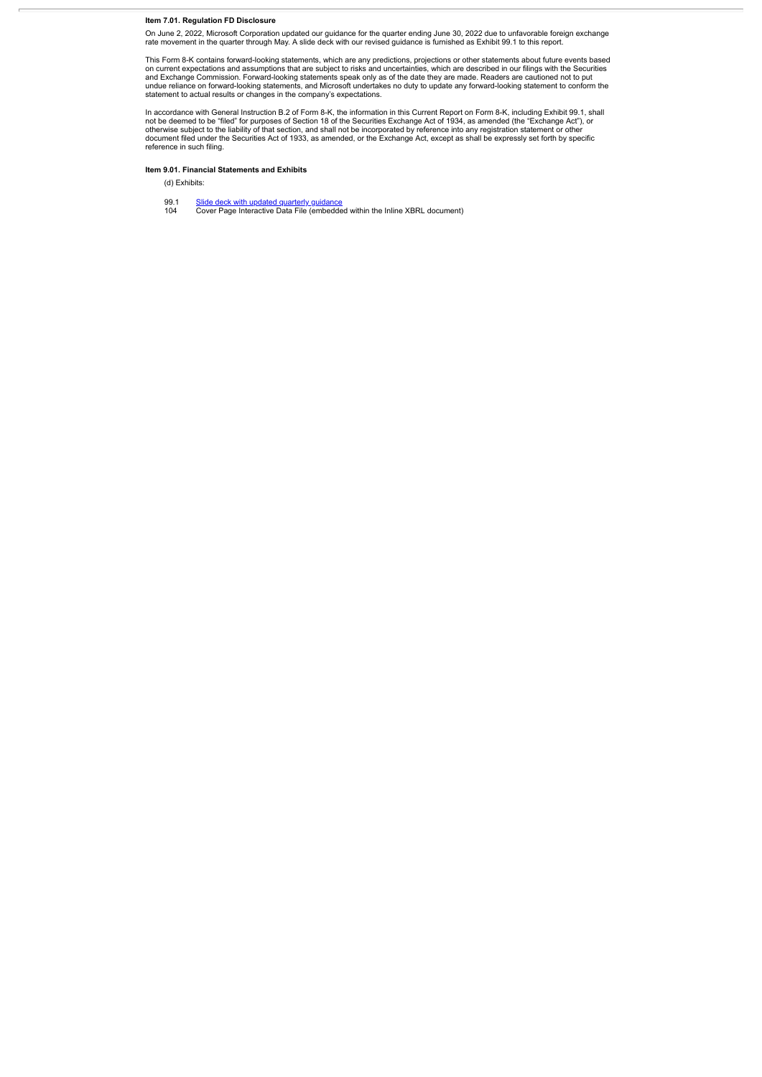**Item 7.01. Regulation FD Disclosure**

On June 2, 2022, Microsoft Corporation updated our guidance for the quarter ending June 30, 2022 due to unfavorable foreign exchange<br>rate movement in the quarter through May. A slide deck with our revised guidance is furni

This Form 8-K contains forward-looking statements, which are any predictions, projections or other statements about future events based<br>on current expectations and assumptions that are subject to risks and uncertainties, w statement to actual results or changes in the company's expectations.

In accordance with General Instruction B.2 of Form 8-K, the information in this Current Report on Form 8-K, including Exhibit 99.1, shall<br>not be deemed to be "filed" for purposes of Section 18 of the Securities Exchange Ac reference in such filing.

#### **Item 9.01. Financial Statements and Exhibits**

(d) Exhibits:

99.1 <u>Slide deck with updated quarterly [guidance](#page-3-0)</u><br>104 Cover Page Interactive Data File (embedded within the Inline XBRL document)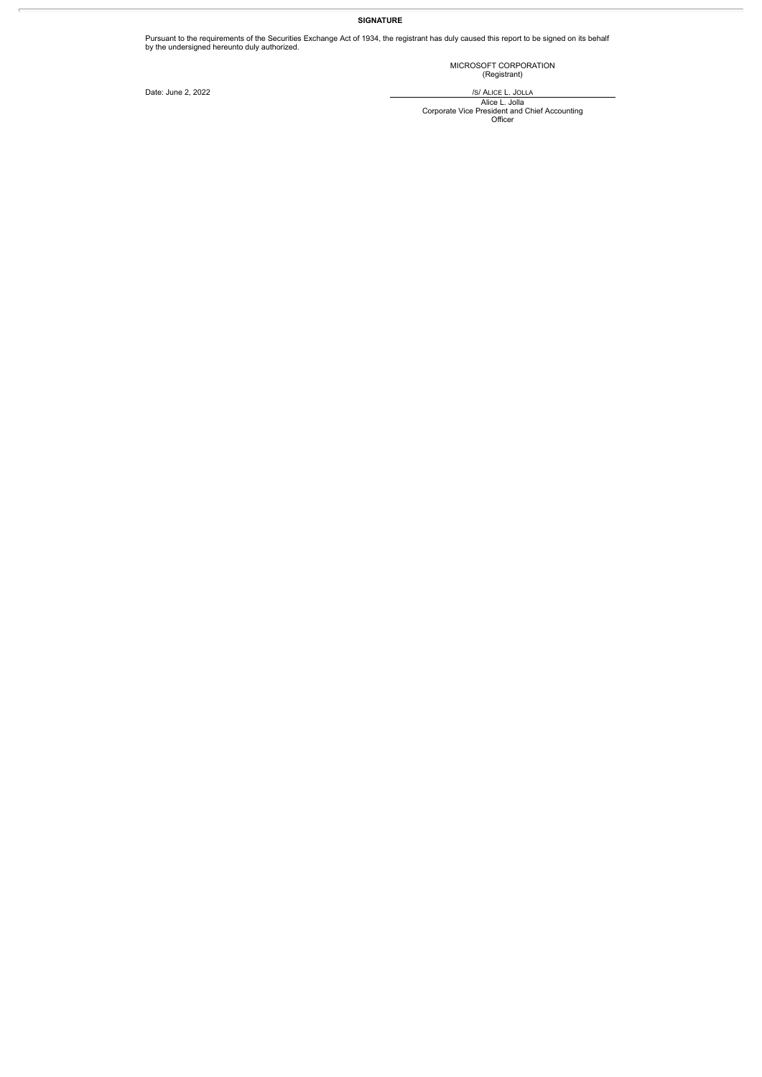#### **SIGNATURE**

Pursuant to the requirements of the Securities Exchange Act of 1934, the registrant has duly caused this report to be signed on its behalf by the undersigned hereunto duly authorized.

MICROSOFT CORPORATION (Registrant)

Date: June 2, 2022 /S/ ALICE L. JOLLA

Alice L. Jolla<br>Corporate Vice President and Chief Accounting<br>Officer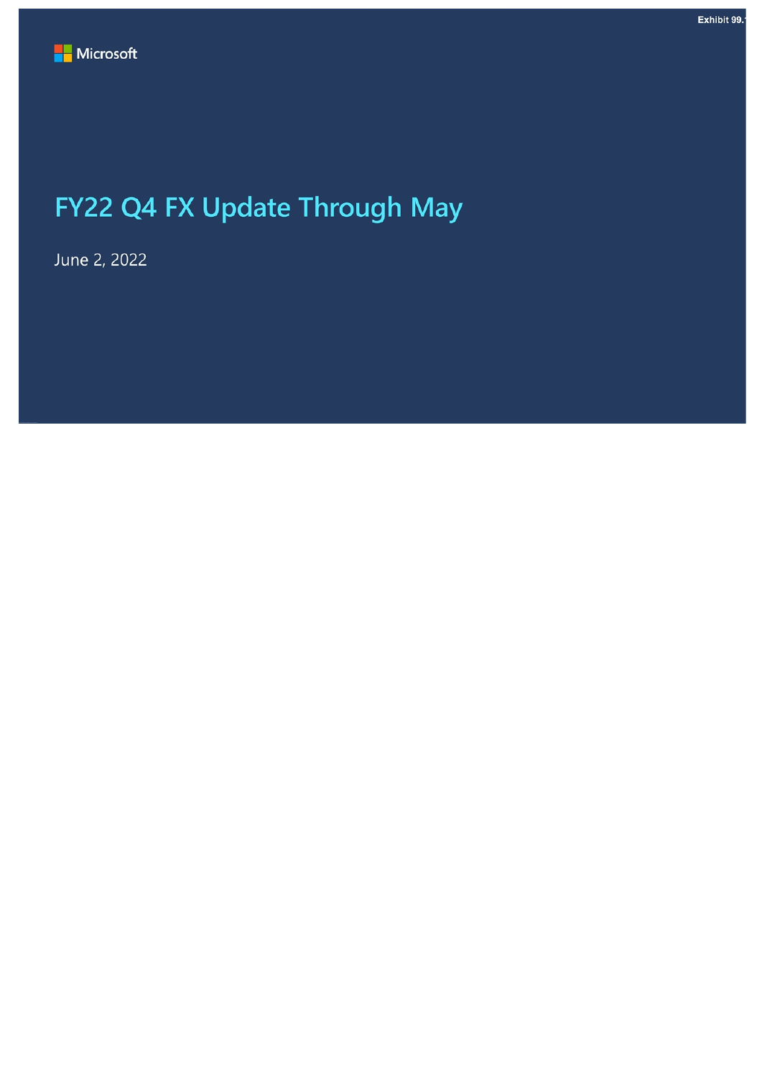# <span id="page-3-0"></span>FY22 Q4 FX Update Through May

June 2, 2022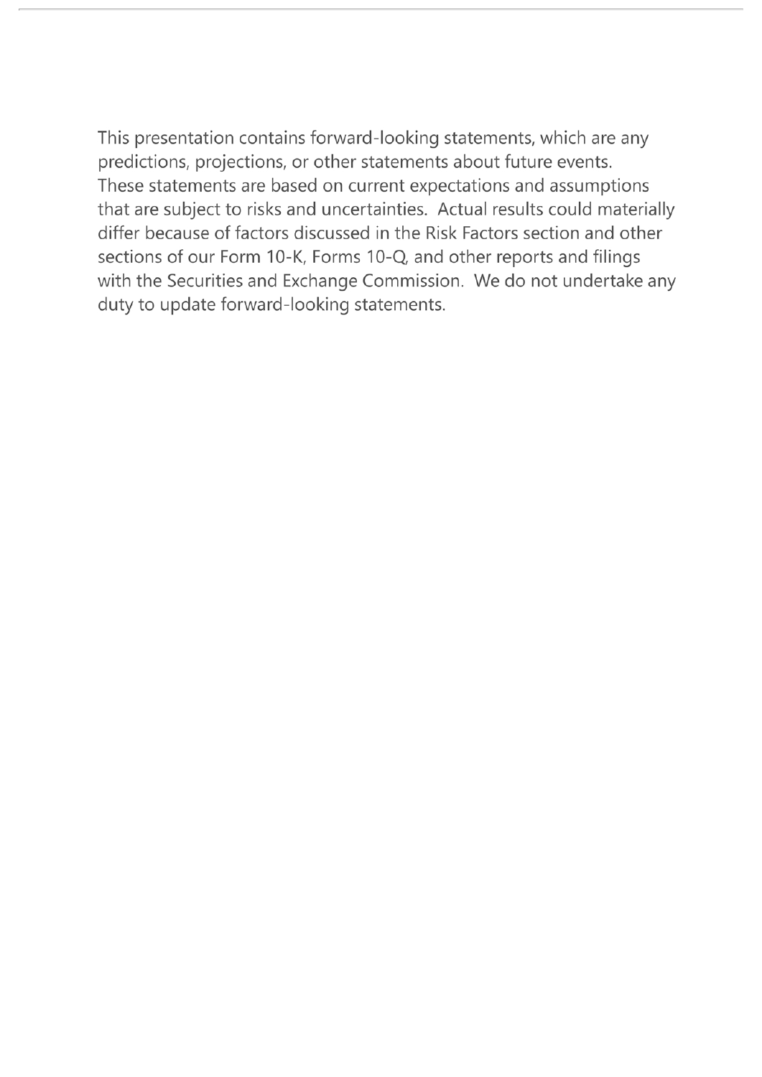This presentation contains forward-looking statements, which are any predictions, projections, or other statements about future events. These statements are based on current expectations and assumptions that are subject to risks and uncertainties. Actual results could materially differ because of factors discussed in the Risk Factors section and other sections of our Form 10-K, Forms 10-Q, and other reports and filings with the Securities and Exchange Commission. We do not undertake any duty to update forward-looking statements.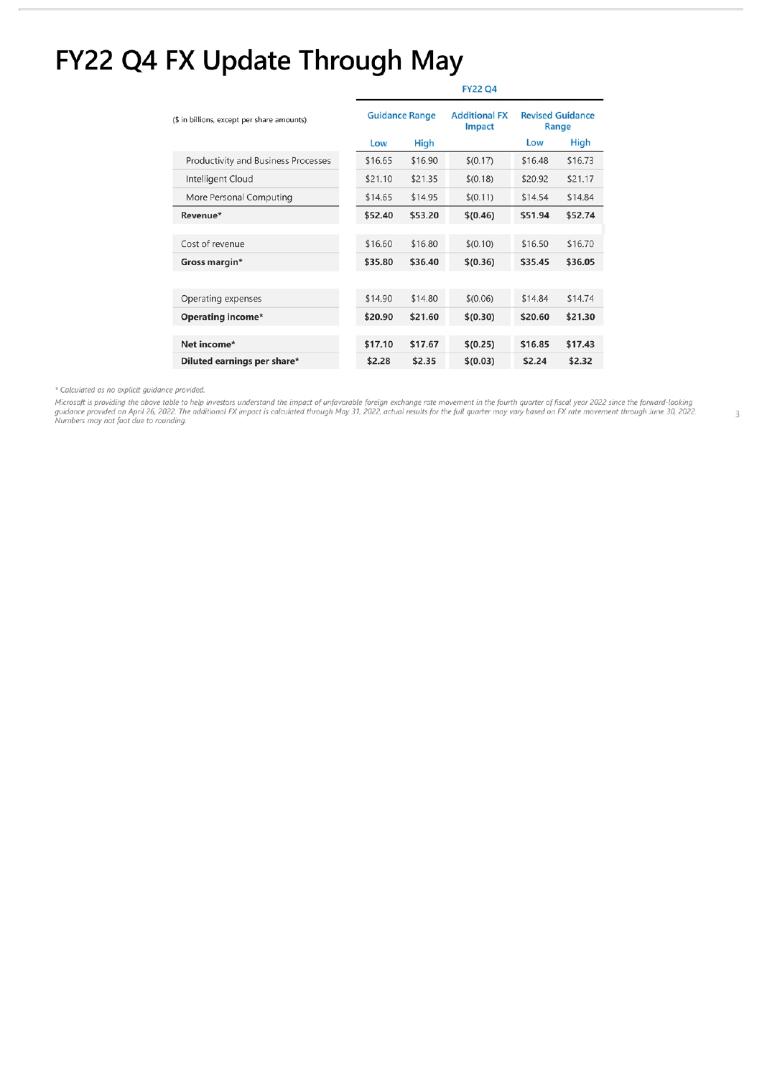# FY22 Q4 FX Update Through May

| (\$ in billions, except per share amounts) | <b>Guidance Range</b> |         | <b>Additional FX</b><br>Impact | <b>Revised Guidance</b><br>Range |         |
|--------------------------------------------|-----------------------|---------|--------------------------------|----------------------------------|---------|
|                                            | Low                   | High    |                                | Low                              | High    |
| <b>Productivity and Business Processes</b> | \$16.65               | \$16.90 | \$(0.17)                       | \$16.48                          | \$16.73 |
| Intelligent Cloud                          | \$21.10               | \$21.35 | \$(0.18)                       | \$20.92                          | \$21.17 |
| More Personal Computing                    | \$14.65               | \$14.95 | \$(0.11)                       | \$14.54                          | \$14.84 |
| Revenue*                                   | \$52.40               | \$53.20 | \$(0.46)                       | \$51.94                          | \$52.74 |
|                                            |                       |         |                                |                                  |         |
| Cost of revenue                            | \$16.60               | \$16.80 | \$(0.10)                       | \$16.50                          | \$16.70 |
| Gross margin*                              | \$35.80               | \$36.40 | \$(0.36)                       | \$35.45                          | \$36.05 |
|                                            |                       |         |                                |                                  |         |
| Operating expenses                         | \$14.90               | \$14.80 | \$(0.06)                       | \$14.84                          | \$14.74 |
| <b>Operating income*</b>                   | \$20.90               | \$21.60 | \$(0.30)                       | \$20.60                          | \$21.30 |
|                                            |                       |         |                                |                                  |         |
| Net income*                                | \$17.10               | \$17.67 | \$(0.25)                       | \$16.85                          | \$17.43 |
| Diluted earnings per share*                | \$2.28                | \$2.35  | \$(0.03)                       | \$2.24                           | \$2.32  |

### **FY22 Q4**

\* Calculated as no explicit guidance provided.

Microsoft is providing the above table to help investors understand the impact of unfavorable foreign exchange rate movement in the fourth quarter of fiscal year 2022 since the forward-looking<br>guidance provided on April 26